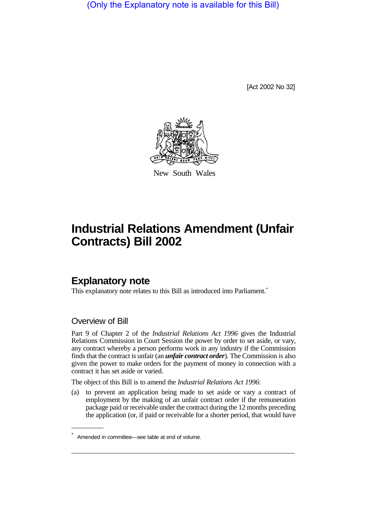(Only the Explanatory note is available for this Bill)

[Act 2002 No 32]



New South Wales

# **Industrial Relations Amendment (Unfair Contracts) Bill 2002**

## **Explanatory note**

This explanatory note relates to this Bill as introduced into Parliament.<sup>\*</sup>

### Overview of Bill

Part 9 of Chapter 2 of the *Industrial Relations Act 1996* gives the Industrial Relations Commission in Court Session the power by order to set aside, or vary, any contract whereby a person performs work in any industry if the Commission finds that the contract is unfair (an *unfair contract order*). The Commission is also given the power to make orders for the payment of money in connection with a contract it has set aside or varied.

The object of this Bill is to amend the *Industrial Relations Act 1996*:

(a) to prevent an application being made to set aside or vary a contract of employment by the making of an unfair contract order if the remuneration package paid or receivable under the contract during the 12 months preceding the application (or, if paid or receivable for a shorter period, that would have

Amended in committee—see table at end of volume.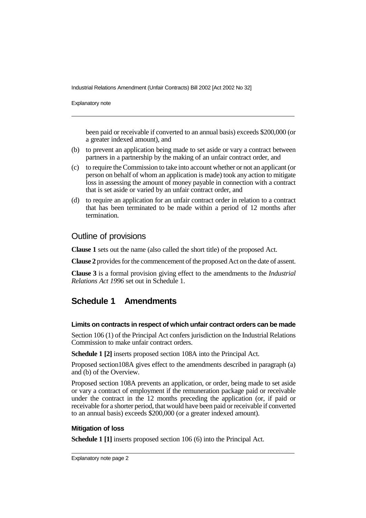Industrial Relations Amendment (Unfair Contracts) Bill 2002 [Act 2002 No 32]

Explanatory note

been paid or receivable if converted to an annual basis) exceeds \$200,000 (or a greater indexed amount), and

- (b) to prevent an application being made to set aside or vary a contract between partners in a partnership by the making of an unfair contract order, and
- (c) to require the Commission to take into account whether or not an applicant (or person on behalf of whom an application is made) took any action to mitigate loss in assessing the amount of money payable in connection with a contract that is set aside or varied by an unfair contract order, and
- (d) to require an application for an unfair contract order in relation to a contract that has been terminated to be made within a period of 12 months after termination.

### Outline of provisions

**Clause 1** sets out the name (also called the short title) of the proposed Act.

**Clause 2** provides for the commencement of the proposed Act on the date of assent.

**Clause 3** is a formal provision giving effect to the amendments to the *Industrial Relations Act 1996* set out in Schedule 1.

### **Schedule 1 Amendments**

#### **Limits on contracts in respect of which unfair contract orders can be made**

Section 106 (1) of the Principal Act confers jurisdiction on the Industrial Relations Commission to make unfair contract orders.

**Schedule 1 [2]** inserts proposed section 108A into the Principal Act.

Proposed section108A gives effect to the amendments described in paragraph (a) and (b) of the Overview.

Proposed section 108A prevents an application, or order, being made to set aside or vary a contract of employment if the remuneration package paid or receivable under the contract in the 12 months preceding the application (or, if paid or receivable for a shorter period, that would have been paid or receivable if converted to an annual basis) exceeds \$200,000 (or a greater indexed amount).

#### **Mitigation of loss**

**Schedule 1 [1]** inserts proposed section 106 (6) into the Principal Act.